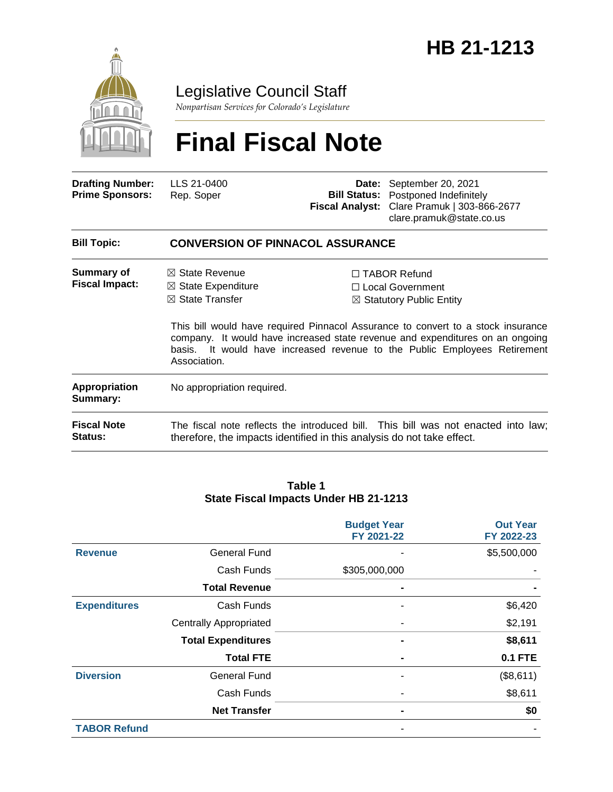

### Legislative Council Staff

*Nonpartisan Services for Colorado's Legislature*

# **Final Fiscal Note**

| <b>Drafting Number:</b><br><b>Prime Sponsors:</b> | LLS 21-0400<br>Rep. Soper | Date: September 20, 2021<br><b>Bill Status:</b> Postponed Indefinitely<br>Fiscal Analyst: Clare Pramuk   303-866-2677<br>clare.pramuk@state.co.us |
|---------------------------------------------------|---------------------------|---------------------------------------------------------------------------------------------------------------------------------------------------|
|                                                   |                           |                                                                                                                                                   |

| <b>Bill Topic:</b>                         | <b>CONVERSION OF PINNACOL ASSURANCE</b>                    |                                                                                                                                                                                                                                                |
|--------------------------------------------|------------------------------------------------------------|------------------------------------------------------------------------------------------------------------------------------------------------------------------------------------------------------------------------------------------------|
| <b>Summary of</b><br><b>Fiscal Impact:</b> | $\boxtimes$ State Revenue<br>$\boxtimes$ State Expenditure | $\Box$ TABOR Refund<br>$\Box$ Local Government                                                                                                                                                                                                 |
|                                            | $\boxtimes$ State Transfer                                 | $\boxtimes$ Statutory Public Entity                                                                                                                                                                                                            |
|                                            | Association.                                               | This bill would have required Pinnacol Assurance to convert to a stock insurance<br>company. It would have increased state revenue and expenditures on an ongoing<br>basis. It would have increased revenue to the Public Employees Retirement |
| <b>Appropriation</b><br>Summary:           | No appropriation required.                                 |                                                                                                                                                                                                                                                |
| <b>Fiscal Note</b><br><b>Status:</b>       |                                                            | The fiscal note reflects the introduced bill. This bill was not enacted into law;<br>therefore, the impacts identified in this analysis do not take effect.                                                                                    |

#### **Table 1 State Fiscal Impacts Under HB 21-1213**

|                     |                               | <b>Budget Year</b><br>FY 2021-22 | <b>Out Year</b><br>FY 2022-23 |
|---------------------|-------------------------------|----------------------------------|-------------------------------|
| <b>Revenue</b>      | <b>General Fund</b>           |                                  | \$5,500,000                   |
|                     | Cash Funds                    | \$305,000,000                    |                               |
|                     | <b>Total Revenue</b>          | ٠                                |                               |
| <b>Expenditures</b> | Cash Funds                    |                                  | \$6,420                       |
|                     | <b>Centrally Appropriated</b> |                                  | \$2,191                       |
|                     | <b>Total Expenditures</b>     |                                  | \$8,611                       |
|                     | <b>Total FTE</b>              |                                  | <b>0.1 FTE</b>                |
| <b>Diversion</b>    | <b>General Fund</b>           |                                  | (\$8,611)                     |
|                     | Cash Funds                    |                                  | \$8,611                       |
|                     | <b>Net Transfer</b>           |                                  | \$0                           |
| <b>TABOR Refund</b> |                               |                                  |                               |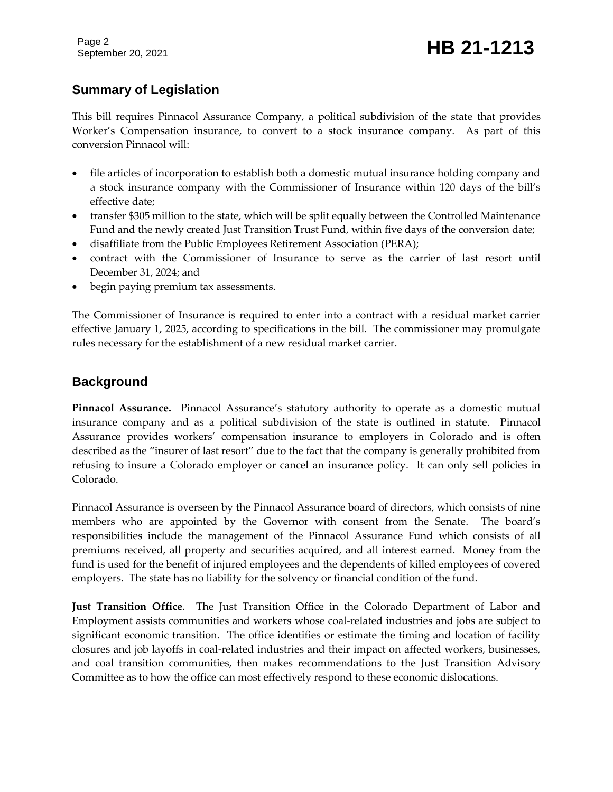Page 2

## September 20, 2021 **HB 21-1213**

#### **Summary of Legislation**

This bill requires Pinnacol Assurance Company, a political subdivision of the state that provides Worker's Compensation insurance, to convert to a stock insurance company. As part of this conversion Pinnacol will:

- file articles of incorporation to establish both a domestic mutual insurance holding company and a stock insurance company with the Commissioner of Insurance within 120 days of the bill's effective date;
- transfer \$305 million to the state, which will be split equally between the Controlled Maintenance Fund and the newly created Just Transition Trust Fund, within five days of the conversion date;
- disaffiliate from the Public Employees Retirement Association (PERA);
- contract with the Commissioner of Insurance to serve as the carrier of last resort until December 31, 2024; and
- begin paying premium tax assessments.

The Commissioner of Insurance is required to enter into a contract with a residual market carrier effective January 1, 2025, according to specifications in the bill. The commissioner may promulgate rules necessary for the establishment of a new residual market carrier.

#### **Background**

**Pinnacol Assurance.** Pinnacol Assurance's statutory authority to operate as a domestic mutual insurance company and as a political subdivision of the state is outlined in statute. Pinnacol Assurance provides workers' compensation insurance to employers in Colorado and is often described as the "insurer of last resort" due to the fact that the company is generally prohibited from refusing to insure a Colorado employer or cancel an insurance policy. It can only sell policies in Colorado.

Pinnacol Assurance is overseen by the Pinnacol Assurance board of directors, which consists of nine members who are appointed by the Governor with consent from the Senate. The board's responsibilities include the management of the Pinnacol Assurance Fund which consists of all premiums received, all property and securities acquired, and all interest earned. Money from the fund is used for the benefit of injured employees and the dependents of killed employees of covered employers. The state has no liability for the solvency or financial condition of the fund.

**Just Transition Office**. The Just Transition Office in the Colorado Department of Labor and Employment assists communities and workers whose coal-related industries and jobs are subject to significant economic transition. The office identifies or estimate the timing and location of facility closures and job layoffs in coal-related industries and their impact on affected workers, businesses, and coal transition communities, then makes recommendations to the Just Transition Advisory Committee as to how the office can most effectively respond to these economic dislocations.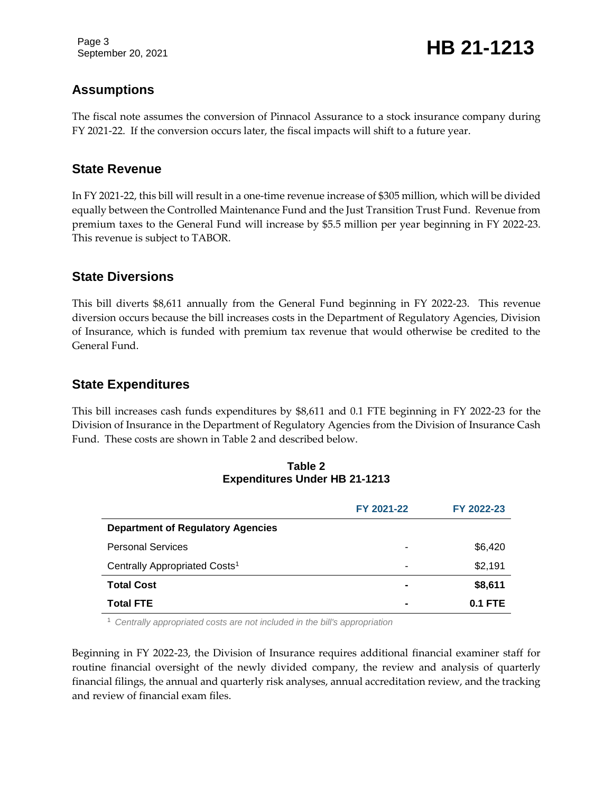Page 3

September 20, 2021 **HB 21-1213** 

#### **Assumptions**

The fiscal note assumes the conversion of Pinnacol Assurance to a stock insurance company during FY 2021-22. If the conversion occurs later, the fiscal impacts will shift to a future year.

#### **State Revenue**

In FY 2021-22, this bill will result in a one-time revenue increase of \$305 million, which will be divided equally between the Controlled Maintenance Fund and the Just Transition Trust Fund. Revenue from premium taxes to the General Fund will increase by \$5.5 million per year beginning in FY 2022-23. This revenue is subject to TABOR.

#### **State Diversions**

This bill diverts \$8,611 annually from the General Fund beginning in FY 2022-23. This revenue diversion occurs because the bill increases costs in the Department of Regulatory Agencies, Division of Insurance, which is funded with premium tax revenue that would otherwise be credited to the General Fund.

#### **State Expenditures**

This bill increases cash funds expenditures by \$8,611 and 0.1 FTE beginning in FY 2022-23 for the Division of Insurance in the Department of Regulatory Agencies from the Division of Insurance Cash Fund. These costs are shown in Table 2 and described below.

| <b>Expenditures Under HB 21-1213</b> |            |  |
|--------------------------------------|------------|--|
|                                      | FY 2021-22 |  |

**Table 2**

|                                           | FY 2021-22     | FY 2022-23 |
|-------------------------------------------|----------------|------------|
| <b>Department of Regulatory Agencies</b>  |                |            |
| <b>Personal Services</b>                  | ٠              | \$6,420    |
| Centrally Appropriated Costs <sup>1</sup> | -              | \$2,191    |
| <b>Total Cost</b>                         | $\blacksquare$ | \$8,611    |
| <b>Total FTE</b>                          | $\blacksquare$ | $0.1$ FTE  |

<sup>1</sup> *Centrally appropriated costs are not included in the bill's appropriation*

Beginning in FY 2022-23, the Division of Insurance requires additional financial examiner staff for routine financial oversight of the newly divided company, the review and analysis of quarterly financial filings, the annual and quarterly risk analyses, annual accreditation review, and the tracking and review of financial exam files.